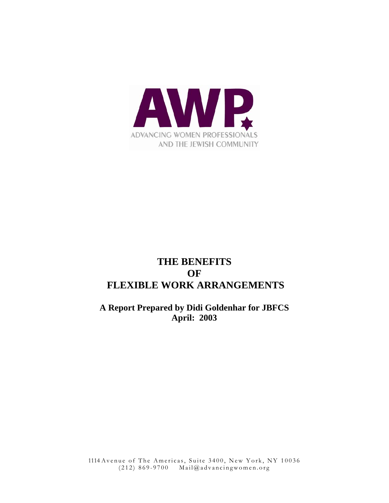

# **THE BENEFITS OF FLEXIBLE WORK ARRANGEMENTS**

**A Report Prepared by Didi Goldenhar for JBFCS April: 2003** 

1114 Avenue of The Americas, Suite 3400, New York, NY 10036 (212) 869-9700 Mail@advancingwomen.org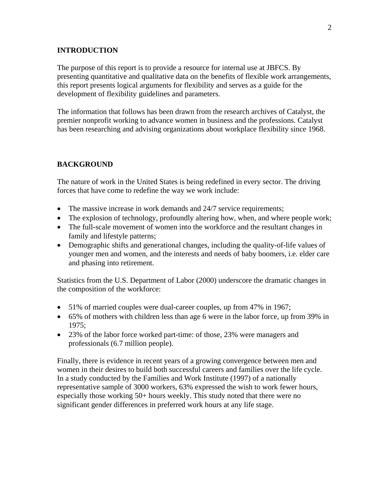## **INTRODUCTION**

The purpose of this report is to provide a resource for internal use at JBFCS. By presenting quantitative and qualitative data on the benefits of flexible work arrangements, this report presents logical arguments for flexibility and serves as a guide for the development of flexibility guidelines and parameters.

The information that follows has been drawn from the research archives of Catalyst, the premier nonprofit working to advance women in business and the professions. Catalyst has been researching and advising organizations about workplace flexibility since 1968.

## **BACKGROUND**

The nature of work in the United States is being redefined in every sector. The driving forces that have come to redefine the way we work include:

- The massive increase in work demands and 24/7 service requirements;
- The explosion of technology, profoundly altering how, when, and where people work;
- The full-scale movement of women into the workforce and the resultant changes in family and lifestyle patterns;
- Demographic shifts and generational changes, including the quality-of-life values of younger men and women, and the interests and needs of baby boomers, i.e. elder care and phasing into retirement.

Statistics from the U.S. Department of Labor (2000) underscore the dramatic changes in the composition of the workforce:

- 51% of married couples were dual-career couples, up from 47% in 1967;
- 65% of mothers with children less than age 6 were in the labor force, up from 39% in 1975;
- 23% of the labor force worked part-time: of those, 23% were managers and professionals (6.7 million people).

Finally, there is evidence in recent years of a growing convergence between men and women in their desires to build both successful careers and families over the life cycle. In a study conducted by the Families and Work Institute (1997) of a nationally representative sample of 3000 workers, 63% expressed the wish to work fewer hours, especially those working 50+ hours weekly. This study noted that there were no significant gender differences in preferred work hours at any life stage.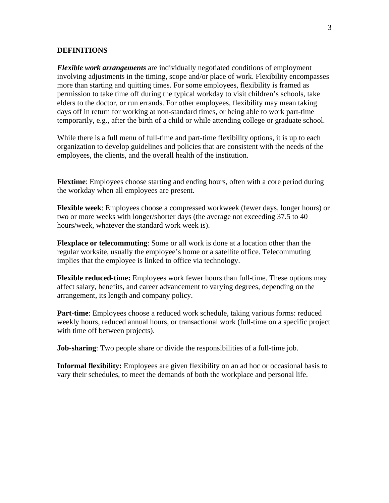## **DEFINITIONS**

*Flexible work arrangements* are individually negotiated conditions of employment involving adjustments in the timing, scope and/or place of work. Flexibility encompasses more than starting and quitting times. For some employees, flexibility is framed as permission to take time off during the typical workday to visit children's schools, take elders to the doctor, or run errands. For other employees, flexibility may mean taking days off in return for working at non-standard times, or being able to work part-time temporarily, e.g., after the birth of a child or while attending college or graduate school.

While there is a full menu of full-time and part-time flexibility options, it is up to each organization to develop guidelines and policies that are consistent with the needs of the employees, the clients, and the overall health of the institution.

**Flextime**: Employees choose starting and ending hours, often with a core period during the workday when all employees are present.

**Flexible week**: Employees choose a compressed workweek (fewer days, longer hours) or two or more weeks with longer/shorter days (the average not exceeding 37.5 to 40 hours/week, whatever the standard work week is).

**Flexplace or telecommuting**: Some or all work is done at a location other than the regular worksite, usually the employee's home or a satellite office. Telecommuting implies that the employee is linked to office via technology.

**Flexible reduced-time:** Employees work fewer hours than full-time. These options may affect salary, benefits, and career advancement to varying degrees, depending on the arrangement, its length and company policy.

**Part-time**: Employees choose a reduced work schedule, taking various forms: reduced weekly hours, reduced annual hours, or transactional work (full-time on a specific project with time off between projects).

**Job-sharing**: Two people share or divide the responsibilities of a full-time job.

**Informal flexibility:** Employees are given flexibility on an ad hoc or occasional basis to vary their schedules, to meet the demands of both the workplace and personal life.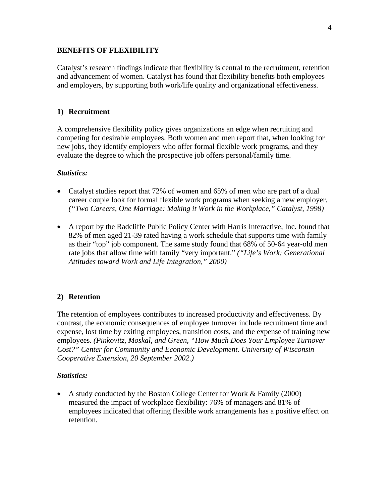# **BENEFITS OF FLEXIBILITY**

Catalyst's research findings indicate that flexibility is central to the recruitment, retention and advancement of women. Catalyst has found that flexibility benefits both employees and employers, by supporting both work/life quality and organizational effectiveness.

# **1) Recruitment**

A comprehensive flexibility policy gives organizations an edge when recruiting and competing for desirable employees. Both women and men report that, when looking for new jobs, they identify employers who offer formal flexible work programs, and they evaluate the degree to which the prospective job offers personal/family time.

# *Statistics:*

- Catalyst studies report that 72% of women and 65% of men who are part of a dual career couple look for formal flexible work programs when seeking a new employer. *("Two Careers, One Marriage: Making it Work in the Workplace," Catalyst, 1998)*
- A report by the Radcliffe Public Policy Center with Harris Interactive, Inc. found that 82% of men aged 21-39 rated having a work schedule that supports time with family as their "top" job component. The same study found that 68% of 50-64 year-old men rate jobs that allow time with family "very important." *("Life's Work: Generational Attitudes toward Work and Life Integration," 2000)*

# **2) Retention**

The retention of employees contributes to increased productivity and effectiveness. By contrast, the economic consequences of employee turnover include recruitment time and expense, lost time by exiting employees, transition costs, and the expense of training new employees. *(Pinkovitz, Moskal, and Green, "How Much Does Your Employee Turnover Cost?" Center for Community and Economic Development. University of Wisconsin Cooperative Extension, 20 September 2002.)*

# *Statistics:*

• A study conducted by the Boston College Center for Work & Family (2000) measured the impact of workplace flexibility: 76% of managers and 81% of employees indicated that offering flexible work arrangements has a positive effect on retention.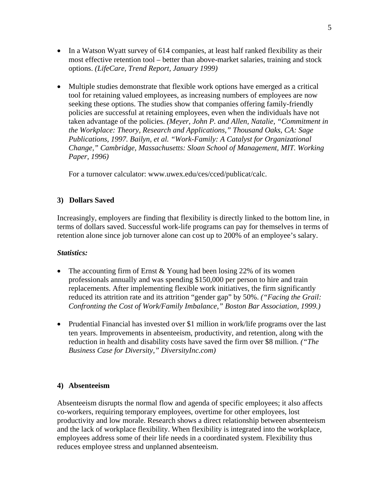- In a Watson Wyatt survey of 614 companies, at least half ranked flexibility as their most effective retention tool – better than above-market salaries, training and stock options. *(LifeCare, Trend Report, January 1999)*
- Multiple studies demonstrate that flexible work options have emerged as a critical tool for retaining valued employees, as increasing numbers of employees are now seeking these options. The studies show that companies offering family-friendly policies are successful at retaining employees, even when the individuals have not taken advantage of the policies. *(Meyer, John P. and Allen, Natalie, "Commitment in the Workplace: Theory, Research and Applications," Thousand Oaks, CA: Sage Publications, 1997. Bailyn, et al. "Work-Family: A Catalyst for Organizational Change," Cambridge, Massachusetts: Sloan School of Management, MIT. Working Paper, 1996)*

For a turnover calculator: www.uwex.edu/ces/cced/publicat/calc.

# **3) Dollars Saved**

Increasingly, employers are finding that flexibility is directly linked to the bottom line, in terms of dollars saved. Successful work-life programs can pay for themselves in terms of retention alone since job turnover alone can cost up to 200% of an employee's salary.

## *Statistics:*

- The accounting firm of Ernst  $&$  Young had been losing 22% of its women professionals annually and was spending \$150,000 per person to hire and train replacements. After implementing flexible work initiatives, the firm significantly reduced its attrition rate and its attrition "gender gap" by 50%. *("Facing the Grail: Confronting the Cost of Work/Family Imbalance," Boston Bar Association, 1999.)*
- Prudential Financial has invested over \$1 million in work/life programs over the last ten years. Improvements in absenteeism, productivity, and retention, along with the reduction in health and disability costs have saved the firm over \$8 million. *("The Business Case for Diversity," DiversityInc.com)*

# **4) Absenteeism**

Absenteeism disrupts the normal flow and agenda of specific employees; it also affects co-workers, requiring temporary employees, overtime for other employees, lost productivity and low morale. Research shows a direct relationship between absenteeism and the lack of workplace flexibility. When flexibility is integrated into the workplace, employees address some of their life needs in a coordinated system. Flexibility thus reduces employee stress and unplanned absenteeism.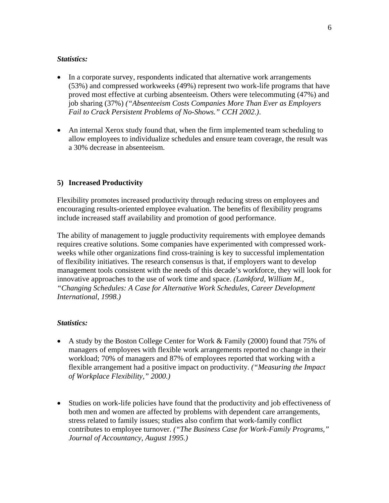## *Statistics:*

- In a corporate survey, respondents indicated that alternative work arrangements (53%) and compressed workweeks (49%) represent two work-life programs that have proved most effective at curbing absenteeism. Others were telecommuting (47%) and job sharing (37%) *("Absenteeism Costs Companies More Than Ever as Employers Fail to Crack Persistent Problems of No-Shows." CCH 2002.)*.
- An internal Xerox study found that, when the firm implemented team scheduling to allow employees to individualize schedules and ensure team coverage, the result was a 30% decrease in absenteeism.

# **5) Increased Productivity**

Flexibility promotes increased productivity through reducing stress on employees and encouraging results-oriented employee evaluation. The benefits of flexibility programs include increased staff availability and promotion of good performance.

The ability of management to juggle productivity requirements with employee demands requires creative solutions. Some companies have experimented with compressed workweeks while other organizations find cross-training is key to successful implementation of flexibility initiatives. The research consensus is that, if employers want to develop management tools consistent with the needs of this decade's workforce, they will look for innovative approaches to the use of work time and space. *(Lankford, William M., "Changing Schedules: A Case for Alternative Work Schedules, Career Development International, 1998.)* 

# *Statistics:*

- A study by the Boston College Center for Work & Family (2000) found that 75% of managers of employees with flexible work arrangements reported no change in their workload; 70% of managers and 87% of employees reported that working with a flexible arrangement had a positive impact on productivity. *("Measuring the Impact of Workplace Flexibility," 2000.)*
- Studies on work-life policies have found that the productivity and job effectiveness of both men and women are affected by problems with dependent care arrangements, stress related to family issues; studies also confirm that work-family conflict contributes to employee turnover. *("The Business Case for Work-Family Programs," Journal of Accountancy, August 1995.)*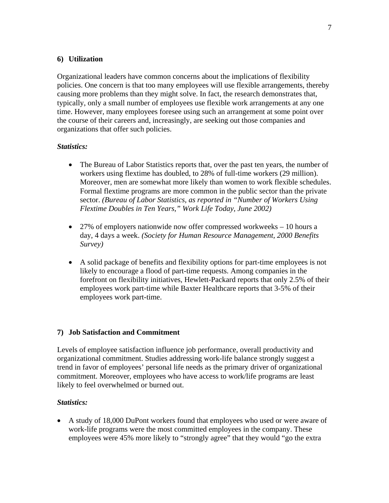# **6) Utilization**

Organizational leaders have common concerns about the implications of flexibility policies. One concern is that too many employees will use flexible arrangements, thereby causing more problems than they might solve. In fact, the research demonstrates that, typically, only a small number of employees use flexible work arrangements at any one time. However, many employees foresee using such an arrangement at some point over the course of their careers and, increasingly, are seeking out those companies and organizations that offer such policies.

# *Statistics:*

- The Bureau of Labor Statistics reports that, over the past ten years, the number of workers using flextime has doubled, to 28% of full-time workers (29 million). Moreover, men are somewhat more likely than women to work flexible schedules. Formal flextime programs are more common in the public sector than the private sector. *(Bureau of Labor Statistics, as reported in "Number of Workers Using Flextime Doubles in Ten Years," Work Life Today, June 2002)*
- 27% of employers nationwide now offer compressed workweeks 10 hours a day, 4 days a week. *(Society for Human Resource Management, 2000 Benefits Survey)*
- A solid package of benefits and flexibility options for part-time employees is not likely to encourage a flood of part-time requests. Among companies in the forefront on flexibility initiatives, Hewlett-Packard reports that only 2.5% of their employees work part-time while Baxter Healthcare reports that 3-5% of their employees work part-time.

# **7) Job Satisfaction and Commitment**

Levels of employee satisfaction influence job performance, overall productivity and organizational commitment. Studies addressing work-life balance strongly suggest a trend in favor of employees' personal life needs as the primary driver of organizational commitment. Moreover, employees who have access to work/life programs are least likely to feel overwhelmed or burned out.

# *Statistics:*

• A study of 18,000 DuPont workers found that employees who used or were aware of work-life programs were the most committed employees in the company. These employees were 45% more likely to "strongly agree" that they would "go the extra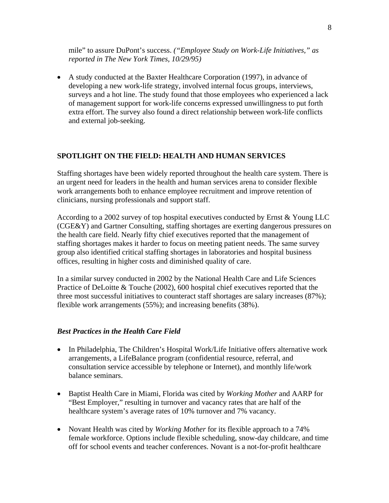mile" to assure DuPont's success. *("Employee Study on Work-Life Initiatives," as reported in The New York Times, 10/29/95)*

• A study conducted at the Baxter Healthcare Corporation (1997), in advance of developing a new work-life strategy, involved internal focus groups, interviews, surveys and a hot line. The study found that those employees who experienced a lack of management support for work-life concerns expressed unwillingness to put forth extra effort. The survey also found a direct relationship between work-life conflicts and external job-seeking.

#### **SPOTLIGHT ON THE FIELD: HEALTH AND HUMAN SERVICES**

Staffing shortages have been widely reported throughout the health care system. There is an urgent need for leaders in the health and human services arena to consider flexible work arrangements both to enhance employee recruitment and improve retention of clinicians, nursing professionals and support staff.

According to a 2002 survey of top hospital executives conducted by Ernst & Young LLC (CGE&Y) and Gartner Consulting, staffing shortages are exerting dangerous pressures on the health care field. Nearly fifty chief executives reported that the management of staffing shortages makes it harder to focus on meeting patient needs. The same survey group also identified critical staffing shortages in laboratories and hospital business offices, resulting in higher costs and diminished quality of care.

In a similar survey conducted in 2002 by the National Health Care and Life Sciences Practice of DeLoitte & Touche (2002), 600 hospital chief executives reported that the three most successful initiatives to counteract staff shortages are salary increases (87%); flexible work arrangements (55%); and increasing benefits (38%).

## *Best Practices in the Health Care Field*

- In Philadelphia, The Children's Hospital Work/Life Initiative offers alternative work arrangements, a LifeBalance program (confidential resource, referral, and consultation service accessible by telephone or Internet), and monthly life/work balance seminars.
- Baptist Health Care in Miami, Florida was cited by *Working Mother* and AARP for "Best Employer," resulting in turnover and vacancy rates that are half of the healthcare system's average rates of 10% turnover and 7% vacancy.
- Novant Health was cited by *Working Mother* for its flexible approach to a 74% female workforce. Options include flexible scheduling, snow-day childcare, and time off for school events and teacher conferences. Novant is a not-for-profit healthcare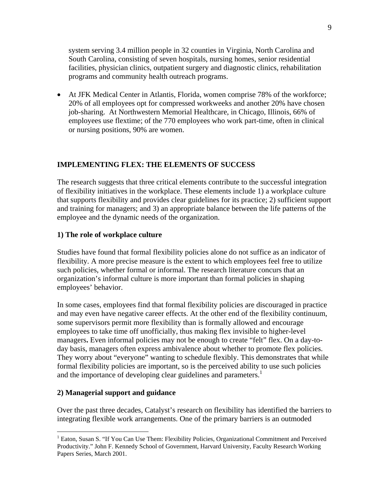system serving 3.4 million people in 32 counties in Virginia, North Carolina and South Carolina, consisting of seven hospitals, nursing homes, senior residential facilities, physician clinics, outpatient surgery and diagnostic clinics, rehabilitation programs and community health outreach programs.

• At JFK Medical Center in Atlantis, Florida, women comprise 78% of the workforce; 20% of all employees opt for compressed workweeks and another 20% have chosen job-sharing. At Northwestern Memorial Healthcare, in Chicago, Illinois, 66% of employees use flextime; of the 770 employees who work part-time, often in clinical or nursing positions, 90% are women.

# **IMPLEMENTING FLEX: THE ELEMENTS OF SUCCESS**

The research suggests that three critical elements contribute to the successful integration of flexibility initiatives in the workplace. These elements include 1) a workplace culture that supports flexibility and provides clear guidelines for its practice; 2) sufficient support and training for managers; and 3) an appropriate balance between the life patterns of the employee and the dynamic needs of the organization.

## **1) The role of workplace culture**

Studies have found that formal flexibility policies alone do not suffice as an indicator of flexibility. A more precise measure is the extent to which employees feel free to utilize such policies, whether formal or informal. The research literature concurs that an organization's informal culture is more important than formal policies in shaping employees' behavior.

In some cases, employees find that formal flexibility policies are discouraged in practice and may even have negative career effects. At the other end of the flexibility continuum, some supervisors permit more flexibility than is formally allowed and encourage employees to take time off unofficially, thus making flex invisible to higher-level managers**.** Even informal policies may not be enough to create "felt" flex. On a day-today basis, managers often express ambivalence about whether to promote flex policies. They worry about "everyone" wanting to schedule flexibly. This demonstrates that while formal flexibility policies are important, so is the perceived ability to use such policies and the importance of developing clear guidelines and parameters.<sup>1</sup>

#### **2) Managerial support and guidance**

 $\overline{a}$ 

Over the past three decades, Catalyst's research on flexibility has identified the barriers to integrating flexible work arrangements. One of the primary barriers is an outmoded

<sup>&</sup>lt;sup>1</sup> Eaton, Susan S. "If You Can Use Them: Flexibility Policies, Organizational Commitment and Perceived Productivity." John F. Kennedy School of Government, Harvard University, Faculty Research Working Papers Series, March 2001.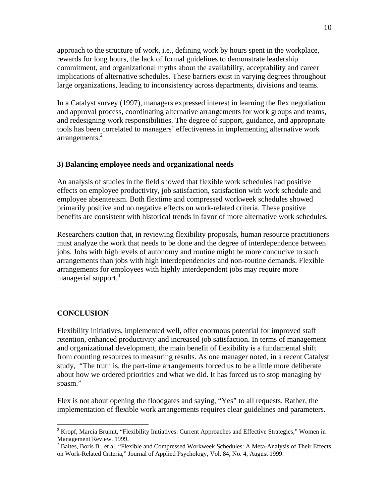approach to the structure of work, i.e., defining work by hours spent in the workplace, rewards for long hours, the lack of formal guidelines to demonstrate leadership commitment, and organizational myths about the availability, acceptability and career implications of alternative schedules. These barriers exist in varying degrees throughout large organizations, leading to inconsistency across departments, divisions and teams.

In a Catalyst survey (1997), managers expressed interest in learning the flex negotiation and approval process, coordinating alternative arrangements for work groups and teams, and redesigning work responsibilities. The degree of support, guidance, and appropriate tools has been correlated to managers' effectiveness in implementing alternative work  $arrangements.<sup>2</sup>$ 

## **3) Balancing employee needs and organizational needs**

An analysis of studies in the field showed that flexible work schedules had positive effects on employee productivity, job satisfaction, satisfaction with work schedule and employee absenteeism. Both flextime and compressed workweek schedules showed primarily positive and no negative effects on work-related criteria. These positive benefits are consistent with historical trends in favor of more alternative work schedules.

Researchers caution that, in reviewing flexibility proposals, human resource practitioners must analyze the work that needs to be done and the degree of interdependence between jobs. Jobs with high levels of autonomy and routine might be more conducive to such arrangements than jobs with high interdependencies and non-routine demands. Flexible arrangements for employees with highly interdependent jobs may require more managerial support.<sup>3</sup>

# **CONCLUSION**

 $\overline{a}$ 

Flexibility initiatives, implemented well, offer enormous potential for improved staff retention, enhanced productivity and increased job satisfaction. In terms of management and organizational development, the main benefit of flexibility is a fundamental shift from counting resources to measuring results. As one manager noted, in a recent Catalyst study, "The truth is, the part-time arrangements forced us to be a little more deliberate about how we ordered priorities and what we did. It has forced us to stop managing by spasm."

Flex is not about opening the floodgates and saying, "Yes" to all requests. Rather, the implementation of flexible work arrangements requires clear guidelines and parameters.

 $2 K$ ropf, Marcia Brumit, "Flexibility Initiatives: Current Approaches and Effective Strategies," Women in Management Review, 1999.

<sup>&</sup>lt;sup>3</sup> Baltes, Boris B., et al, "Flexible and Compressed Workweek Schedules: A Meta-Analysis of Their Effects on Work-Related Criteria," Journal of Applied Psychology, Vol. 84, No. 4, August 1999.